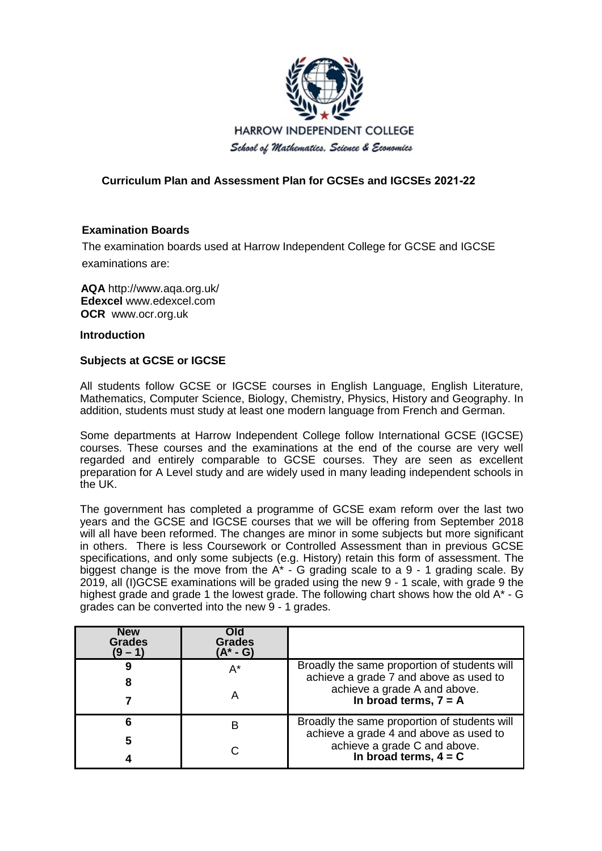

# **Curriculum Plan and Assessment Plan for GCSEs and IGCSEs 2021-22**

## **Examination Boards**

The examination boards used at Harrow Independent College for GCSE and IGCSE exa[minations are:](http://www.aqa.org.uk/)

**AQA** htt[p://www.aqa.org.uk/](http://www.edexcel.com/) **Edexcel** [www.edexcel.](http://www.ocr.org.uk/)com **OCR** www.ocr.org.uk

**Introduction**

## **Subjects at GCSE or IGCSE**

All students follow GCSE or IGCSE courses in English Language, English Literature, Mathematics, Computer Science, Biology, Chemistry, Physics, History and Geography. In addition, students must study at least one modern language from French and German.

Some departments at Harrow Independent College follow International GCSE (IGCSE) courses. These courses and the examinations at the end of the course are very well regarded and entirely comparable to GCSE courses. They are seen as excellent preparation for A Level study and are widely used in many leading independent schools in the UK.

The government has completed a programme of GCSE exam reform over the last two years and the GCSE and IGCSE courses that we will be offering from September 2018 will all have been reformed. The changes are minor in some subjects but more significant in others. There is less Coursework or Controlled Assessment than in previous GCSE specifications, and only some subjects (e.g. History) retain this form of assessment. The biggest change is the move from the  $A^*$  - G grading scale to a 9 - 1 grading scale. By 2019, all (I)GCSE examinations will be graded using the new 9 - 1 scale, with grade 9 the highest grade and grade 1 the lowest grade. The following chart shows how the old A<sup>\*</sup> - G grades can be converted into the new 9 - 1 grades.

| <b>New</b><br><b>Grades</b><br>(9 – 1) | Old<br><b>Grades</b><br>(A* - G) |                                                                                                   |
|----------------------------------------|----------------------------------|---------------------------------------------------------------------------------------------------|
| 9                                      | $A^*$                            | Broadly the same proportion of students will                                                      |
| 8                                      |                                  | achieve a grade 7 and above as used to<br>achieve a grade A and above.                            |
|                                        | Α                                | In broad terms, $7 = A$                                                                           |
| 6                                      | в                                | Broadly the same proportion of students will                                                      |
| 5                                      |                                  | achieve a grade 4 and above as used to<br>achieve a grade C and above.<br>In broad terms, $4 = C$ |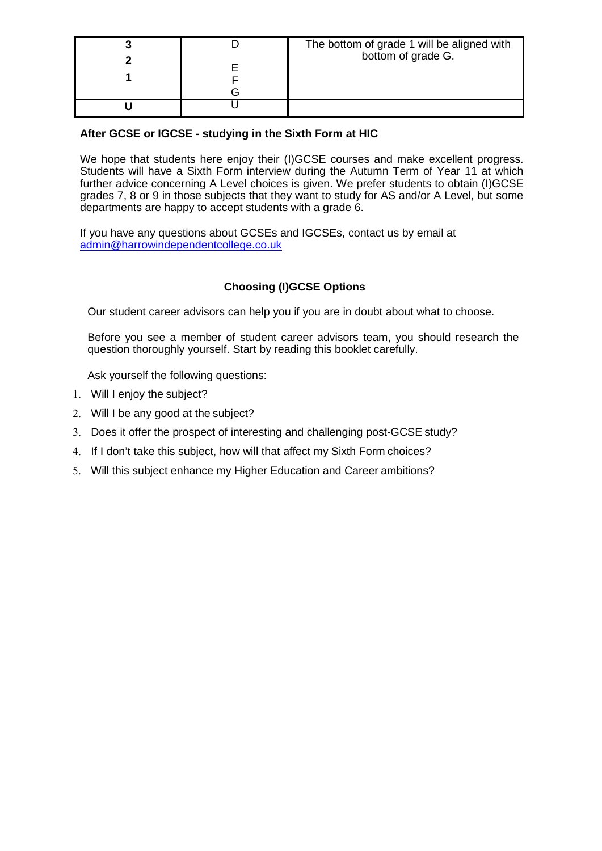|  | The bottom of grade 1 will be aligned with<br>bottom of grade G. |
|--|------------------------------------------------------------------|
|  |                                                                  |
|  |                                                                  |

# **After GCSE or IGCSE - studying in the Sixth Form at HIC**

We hope that students here enjoy their (I)GCSE courses and make excellent progress. Students will have a Sixth Form interview during the Autumn Term of Year 11 at which further advice concerning A Level choices is given. We prefer students to obtain (I)GCSE grades 7, 8 or 9 in those subjects that they want to study for AS and/or A Level, but some departments are happy to accept students with a grade 6.

If you have any questions about GCSEs and IGCSEs, contact us by email at [admin@harrowindependentcollege.co.uk](mailto:admin@harrowindependentcollege.co.uk)

# **Choosing (I)GCSE Options**

Our student career advisors can help you if you are in doubt about what to choose.

Before you see a member of student career advisors team, you should research the question thoroughly yourself. Start by reading this booklet carefully.

Ask yourself the following questions:

- 1. Will I enjoy the subject?
- 2. Will I be any good at the subject?
- 3. Does it offer the prospect of interesting and challenging post-GCSE study?
- 4. If I don't take this subject, how will that affect my Sixth Form choices?
- 5. Will this subject enhance my Higher Education and Career ambitions?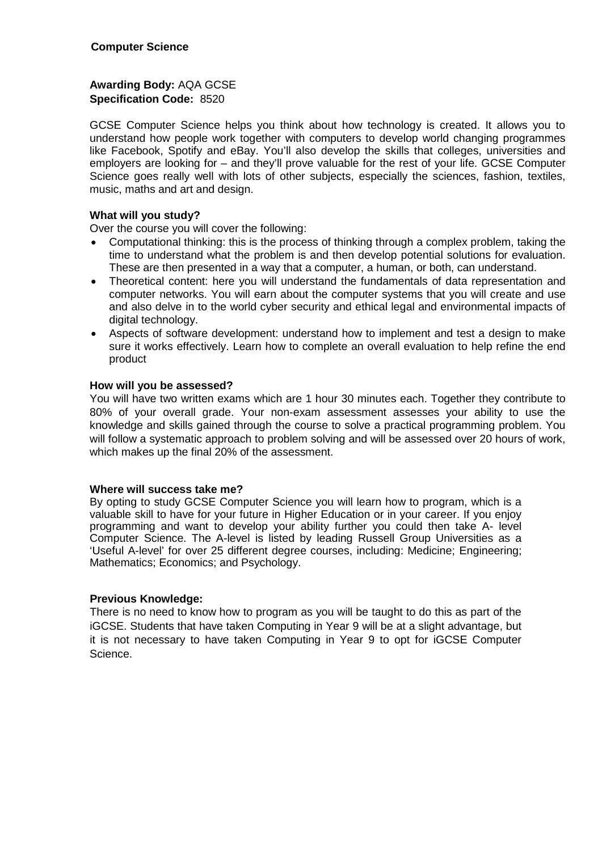**Awarding Body:** AQA GCSE **Specification Code:** 8520

GCSE Computer Science helps you think about how technology is created. It allows you to understand how people work together with computers to develop world changing programmes like Facebook, Spotify and eBay. You'll also develop the skills that colleges, universities and employers are looking for – and they'll prove valuable for the rest of your life. GCSE Computer Science goes really well with lots of other subjects, especially the sciences, fashion, textiles, music, maths and art and design.

## **What will you study?**

Over the course you will cover the following:

- Computational thinking: this is the process of thinking through a complex problem, taking the time to understand what the problem is and then develop potential solutions for evaluation. These are then presented in a way that a computer, a human, or both, can understand.
- Theoretical content: here you will understand the fundamentals of data representation and computer networks. You will earn about the computer systems that you will create and use and also delve in to the world cyber security and ethical legal and environmental impacts of digital technology.
- Aspects of software development: understand how to implement and test a design to make sure it works effectively. Learn how to complete an overall evaluation to help refine the end product

## **How will you be assessed?**

You will have two written exams which are 1 hour 30 minutes each. Together they contribute to 80% of your overall grade. Your non-exam assessment assesses your ability to use the knowledge and skills gained through the course to solve a practical programming problem. You will follow a systematic approach to problem solving and will be assessed over 20 hours of work, which makes up the final 20% of the assessment.

#### **Where will success take me?**

By opting to study GCSE Computer Science you will learn how to program, which is a valuable skill to have for your future in Higher Education or in your career. If you enjoy programming and want to develop your ability further you could then take A- level Computer Science. The A-level is listed by leading Russell Group Universities as a 'Useful A-level' for over 25 different degree courses, including: Medicine; Engineering; Mathematics; Economics; and Psychology.

#### **Previous Knowledge:**

There is no need to know how to program as you will be taught to do this as part of the iGCSE. Students that have taken Computing in Year 9 will be at a slight advantage, but it is not necessary to have taken Computing in Year 9 to opt for iGCSE Computer Science.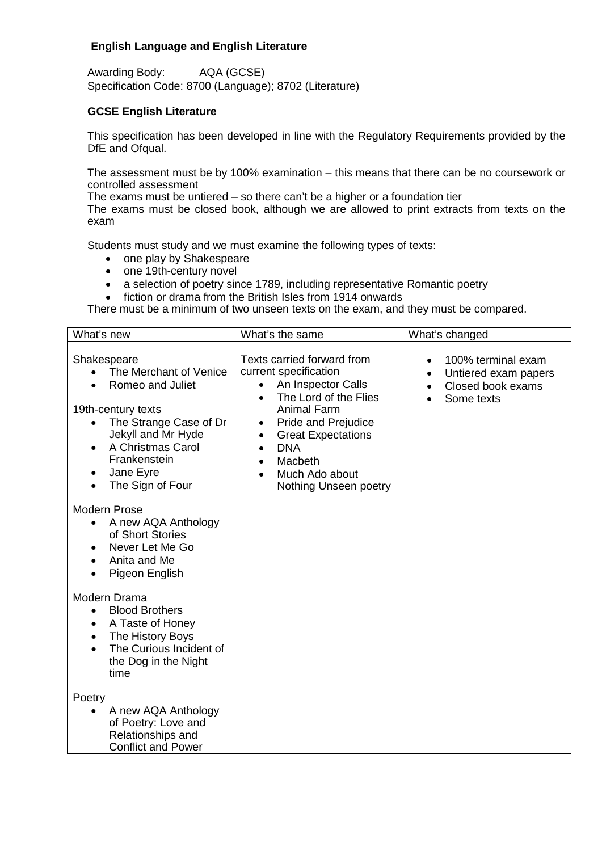# **English Language and English Literature**

Awarding Body: AQA (GCSE) Specification Code: 8700 (Language); 8702 (Literature)

## **GCSE English Literature**

This specification has been developed in line with the Regulatory Requirements provided by the DfE and Ofqual.

The assessment must be by 100% examination – this means that there can be no coursework or controlled assessment

The exams must be untiered – so there can't be a higher or a foundation tier

The exams must be closed book, although we are allowed to print extracts from texts on the exam

Students must study and we must examine the following types of texts:

- one play by Shakespeare
- one 19th-century novel
- a selection of poetry since 1789, including representative Romantic poetry
- fiction or drama from the British Isles from 1914 onwards

There must be a minimum of two unseen texts on the exam, and they must be compared.

| What's new                                                                                                                                                                                                                   | What's the same                                                                                                                                                                                                                                       | What's changed                                                                                          |
|------------------------------------------------------------------------------------------------------------------------------------------------------------------------------------------------------------------------------|-------------------------------------------------------------------------------------------------------------------------------------------------------------------------------------------------------------------------------------------------------|---------------------------------------------------------------------------------------------------------|
| Shakespeare<br>The Merchant of Venice<br>Romeo and Juliet<br>19th-century texts<br>The Strange Case of Dr<br>Jekyll and Mr Hyde<br>A Christmas Carol<br>Frankenstein<br>Jane Eyre<br>The Sign of Four<br><b>Modern Prose</b> | Texts carried forward from<br>current specification<br>An Inspector Calls<br>The Lord of the Flies<br><b>Animal Farm</b><br>Pride and Prejudice<br>٠<br><b>Great Expectations</b><br><b>DNA</b><br>Macbeth<br>Much Ado about<br>Nothing Unseen poetry | 100% terminal exam<br>$\bullet$<br>Untiered exam papers<br>$\bullet$<br>Closed book exams<br>Some texts |
| A new AQA Anthology<br>of Short Stories<br>Never Let Me Go<br>$\bullet$<br>Anita and Me<br>Pigeon English                                                                                                                    |                                                                                                                                                                                                                                                       |                                                                                                         |
| Modern Drama<br><b>Blood Brothers</b><br>$\bullet$<br>A Taste of Honey<br>$\bullet$<br>The History Boys<br>$\bullet$<br>The Curious Incident of<br>the Dog in the Night<br>time                                              |                                                                                                                                                                                                                                                       |                                                                                                         |
| Poetry<br>A new AQA Anthology<br>of Poetry: Love and<br>Relationships and<br><b>Conflict and Power</b>                                                                                                                       |                                                                                                                                                                                                                                                       |                                                                                                         |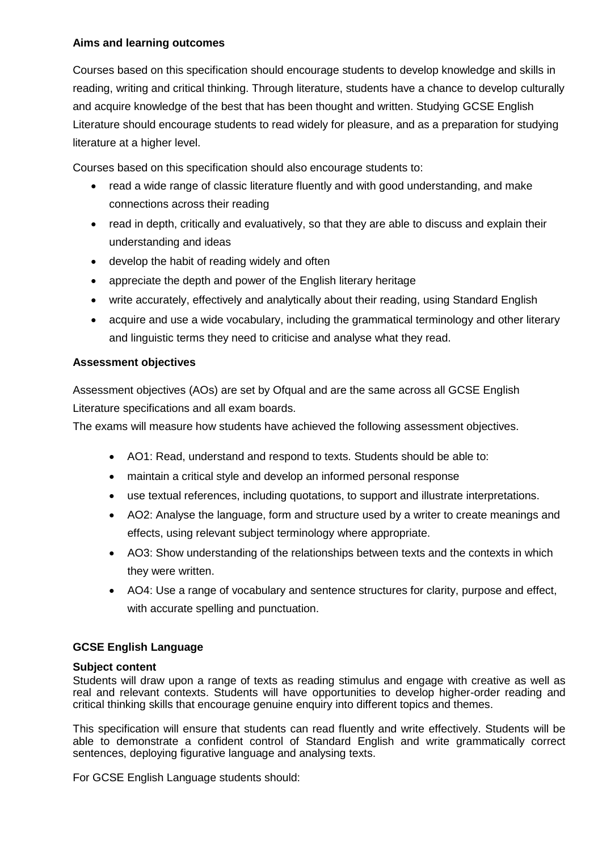# **Aims and learning outcomes**

Courses based on this specification should encourage students to develop knowledge and skills in reading, writing and critical thinking. Through literature, students have a chance to develop culturally and acquire knowledge of the best that has been thought and written. Studying GCSE English Literature should encourage students to read widely for pleasure, and as a preparation for studying literature at a higher level.

Courses based on this specification should also encourage students to:

- read a wide range of classic literature fluently and with good understanding, and make connections across their reading
- read in depth, critically and evaluatively, so that they are able to discuss and explain their understanding and ideas
- develop the habit of reading widely and often
- appreciate the depth and power of the English literary heritage
- write accurately, effectively and analytically about their reading, using Standard English
- acquire and use a wide vocabulary, including the grammatical terminology and other literary and linguistic terms they need to criticise and analyse what they read.

# **Assessment objectives**

Assessment objectives (AOs) are set by Ofqual and are the same across all GCSE English Literature specifications and all exam boards.

The exams will measure how students have achieved the following assessment objectives.

- AO1: Read, understand and respond to texts. Students should be able to:
- maintain a critical style and develop an informed personal response
- use textual references, including quotations, to support and illustrate interpretations.
- AO2: Analyse the language, form and structure used by a writer to create meanings and effects, using relevant subject terminology where appropriate.
- AO3: Show understanding of the relationships between texts and the contexts in which they were written.
- AO4: Use a range of vocabulary and sentence structures for clarity, purpose and effect, with accurate spelling and punctuation.

# **GCSE English Language**

## **Subject content**

Students will draw upon a range of texts as reading stimulus and engage with creative as well as real and relevant contexts. Students will have opportunities to develop higher-order reading and critical thinking skills that encourage genuine enquiry into different topics and themes.

This specification will ensure that students can read fluently and write effectively. Students will be able to demonstrate a confident control of Standard English and write grammatically correct sentences, deploying figurative language and analysing texts.

For GCSE English Language students should: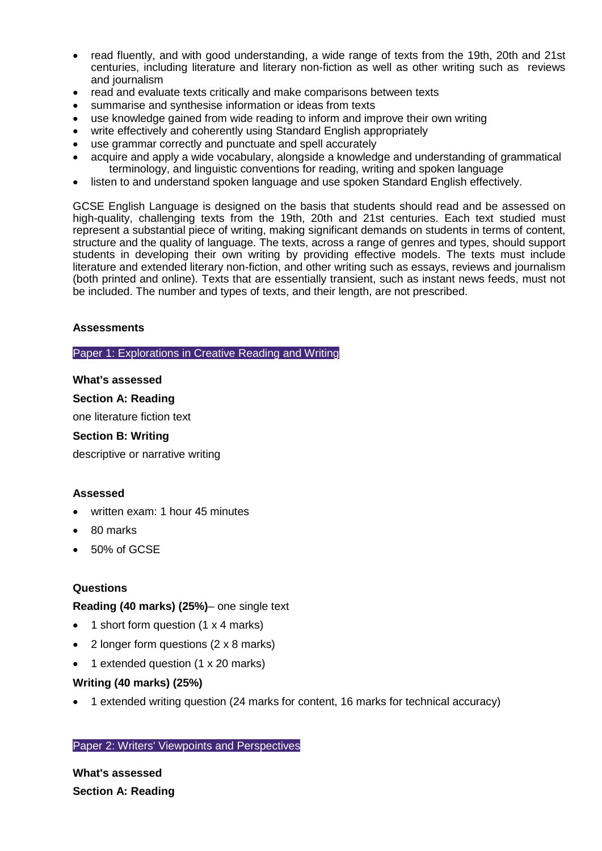- read fluently, and with good understanding, a wide range of texts from the 19th, 20th and 21st centuries, including literature and literary non-fiction as well as other writing such as reviews and journalism
- read and evaluate texts critically and make comparisons between texts
- summarise and synthesise information or ideas from texts
- use knowledge gained from wide reading to inform and improve their own writing
- write effectively and coherently using Standard English appropriately
- use grammar correctly and punctuate and spell accurately
- acquire and apply a wide vocabulary, alongside a knowledge and understanding of grammatical terminology, and linguistic conventions for reading, writing and spoken language
- listen to and understand spoken language and use spoken Standard English effectively.

GCSE English Language is designed on the basis that students should read and be assessed on high-quality, challenging texts from the 19th, 20th and 21st centuries. Each text studied must represent a substantial piece of writing, making significant demands on students in terms of content, structure and the quality of language. The texts, across a range of genres and types, should support students in developing their own writing by providing effective models. The texts must include literature and extended literary non-fiction, and other writing such as essays, reviews and journalism (both printed and online). Texts that are essentially transient, such as instant news feeds, must not be included. The number and types of texts, and their length, are not prescribed.

## **Assessments**

Paper 1: Explorations in Creative Reading and Writing

#### **What's assessed**

#### **Section A: Reading**

one literature fiction text

#### **Section B: Writing**

descriptive or narrative writing

#### **Assessed**

- written exam: 1 hour 45 minutes
- 80 marks
- 50% of GCSE

#### **Questions**

**Reading (40 marks) (25%)**– one single text

- 1 short form question (1 x 4 marks)
- 2 longer form questions (2 x 8 marks)
- 1 extended question (1 x 20 marks)

## **Writing (40 marks) (25%)**

• 1 extended writing question (24 marks for content, 16 marks for technical accuracy)

#### Paper 2: Writers' Viewpoints and Perspectives

**What's assessed Section A: Reading**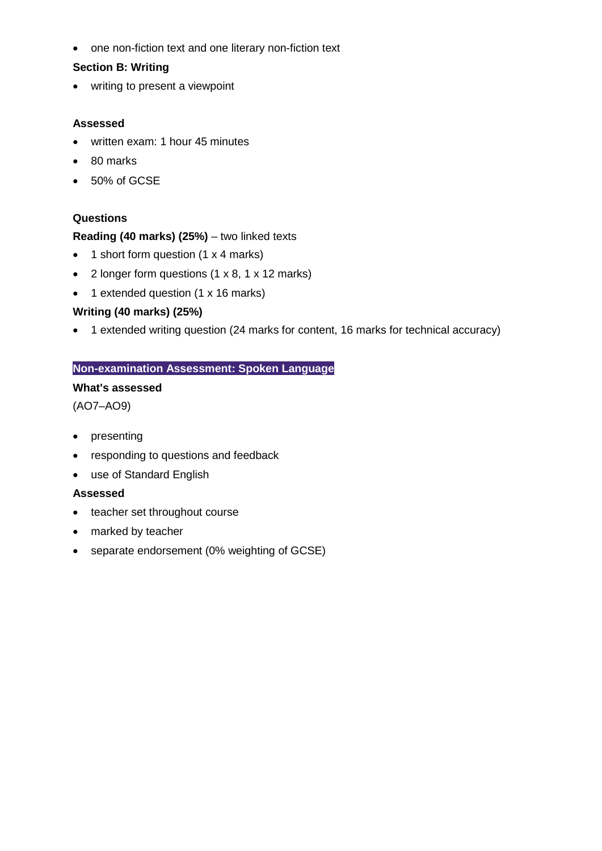• one non-fiction text and one literary non-fiction text

# **Section B: Writing**

• writing to present a viewpoint

# **Assessed**

- written exam: 1 hour 45 minutes
- 80 marks
- 50% of GCSE

# **Questions**

# **Reading (40 marks) (25%)** – two linked texts

- 1 short form question (1 x 4 marks)
- 2 longer form questions (1 x 8, 1 x 12 marks)
- 1 extended question (1 x 16 marks)

# **Writing (40 marks) (25%)**

• 1 extended writing question (24 marks for content, 16 marks for technical accuracy)

# **Non-examination Assessment: Spoken Language**

## **What's assessed**

(AO7–AO9)

- presenting
- responding to questions and feedback
- use of Standard English

## **Assessed**

- teacher set throughout course
- marked by teacher
- separate endorsement (0% weighting of GCSE)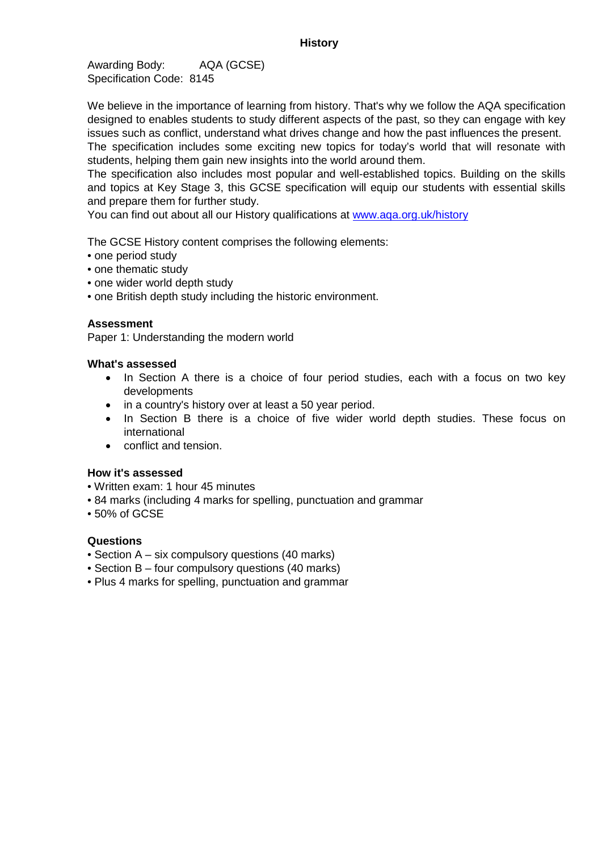Awarding Body: AQA (GCSE) Specification Code: 8145

We believe in the importance of learning from history. That's why we follow the AQA specification designed to enables students to study different aspects of the past, so they can engage with key issues such as conflict, understand what drives change and how the past influences the present.

The specification includes some exciting new topics for today's world that will resonate with students, helping them gain new insights into the world around them.

The specification also includes most popular and well-established topics. Building on the skills and topics at Key Stage 3, this GCSE specification will equip our students with essential skills and prepare them for further study.

You can find out about all our History qualifications at [www.aqa.org.uk/history](http://www.aqa.org.uk/history)

The GCSE History content comprises the following elements:

- one period study
- one thematic study
- one wider world depth study
- one British depth study including the historic environment.

#### **Assessment**

Paper 1: Understanding the modern world

#### **What's assessed**

- In Section A there is a choice of four period studies, each with a focus on two key developments
- in a country's history over at least a 50 year period.
- In Section B there is a choice of five wider world depth studies. These focus on international
- conflict and tension.

## **How it's assessed**

- Written exam: 1 hour 45 minutes
- 84 marks (including 4 marks for spelling, punctuation and grammar
- 50% of GCSE

#### **Questions**

- Section A six compulsory questions (40 marks)
- Section B four compulsory questions (40 marks)
- Plus 4 marks for spelling, punctuation and grammar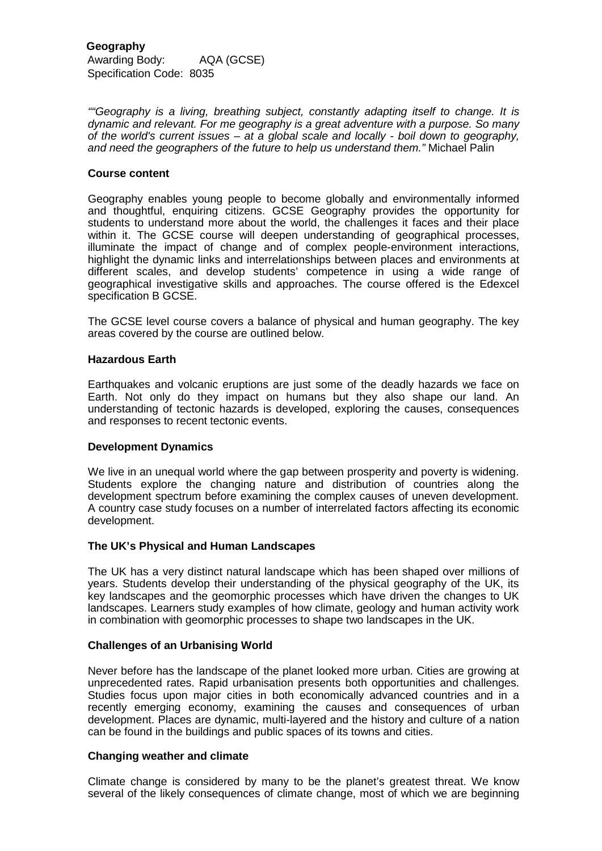*""Geography is a living, breathing subject, constantly adapting itself to change. It is dynamic and relevant. For me geography is a great adventure with a purpose. So many of the world's current issues – at a global scale and locally - boil down to geography, and need the geographers of the future to help us understand them."* Michael Palin

#### **Course content**

Geography enables young people to become globally and environmentally informed and thoughtful, enquiring citizens. GCSE Geography provides the opportunity for students to understand more about the world, the challenges it faces and their place within it. The GCSE course will deepen understanding of geographical processes, illuminate the impact of change and of complex people-environment interactions, highlight the dynamic links and interrelationships between places and environments at different scales, and develop students' competence in using a wide range of geographical investigative skills and approaches. The course offered is the Edexcel specification B GCSE.

The GCSE level course covers a balance of physical and human geography. The key areas covered by the course are outlined below.

#### **Hazardous Earth**

Earthquakes and volcanic eruptions are just some of the deadly hazards we face on Earth. Not only do they impact on humans but they also shape our land. An understanding of tectonic hazards is developed, exploring the causes, consequences and responses to recent tectonic events.

#### **Development Dynamics**

We live in an unequal world where the gap between prosperity and poverty is widening. Students explore the changing nature and distribution of countries along the development spectrum before examining the complex causes of uneven development. A country case study focuses on a number of interrelated factors affecting its economic development.

#### **The UK's Physical and Human Landscapes**

The UK has a very distinct natural landscape which has been shaped over millions of years. Students develop their understanding of the physical geography of the UK, its key landscapes and the geomorphic processes which have driven the changes to UK landscapes. Learners study examples of how climate, geology and human activity work in combination with geomorphic processes to shape two landscapes in the UK.

#### **Challenges of an Urbanising World**

Never before has the landscape of the planet looked more urban. Cities are growing at unprecedented rates. Rapid urbanisation presents both opportunities and challenges. Studies focus upon major cities in both economically advanced countries and in a recently emerging economy, examining the causes and consequences of urban development. Places are dynamic, multi-layered and the history and culture of a nation can be found in the buildings and public spaces of its towns and cities.

#### **Changing weather and climate**

Climate change is considered by many to be the planet's greatest threat. We know several of the likely consequences of climate change, most of which we are beginning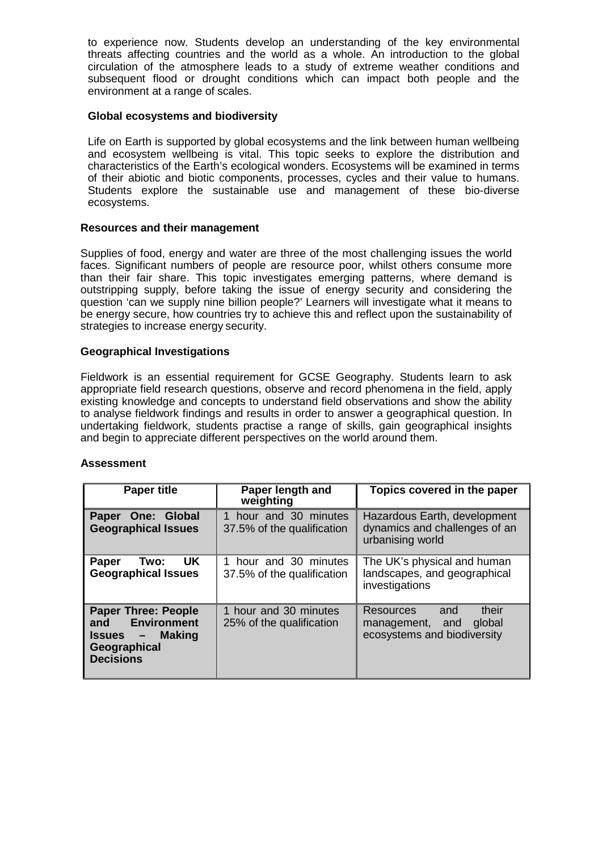to experience now. Students develop an understanding of the key environmental threats affecting countries and the world as a whole. An introduction to the global circulation of the atmosphere leads to a study of extreme weather conditions and subsequent flood or drought conditions which can impact both people and the environment at a range of scales.

#### **Global ecosystems and biodiversity**

Life on Earth is supported by global ecosystems and the link between human wellbeing and ecosystem wellbeing is vital. This topic seeks to explore the distribution and characteristics of the Earth's ecological wonders. Ecosystems will be examined in terms of their abiotic and biotic components, processes, cycles and their value to humans. Students explore the sustainable use and management of these bio-diverse ecosystems.

## **Resources and their management**

Supplies of food, energy and water are three of the most challenging issues the world faces. Significant numbers of people are resource poor, whilst others consume more than their fair share. This topic investigates emerging patterns, where demand is outstripping supply, before taking the issue of energy security and considering the question 'can we supply nine billion people?' Learners will investigate what it means to be energy secure, how countries try to achieve this and reflect upon the sustainability of strategies to increase energy security.

## **Geographical Investigations**

Fieldwork is an essential requirement for GCSE Geography. Students learn to ask appropriate field research questions, observe and record phenomena in the field, apply existing knowledge and concepts to understand field observations and show the ability to analyse fieldwork findings and results in order to answer a geographical question. In undertaking fieldwork, students practise a range of skills, gain geographical insights and begin to appreciate different perspectives on the world around them.

#### **Assessment**

| <b>Paper title</b>                                                                                          | Paper length and<br>weighting                       | Topics covered in the paper                                                           |
|-------------------------------------------------------------------------------------------------------------|-----------------------------------------------------|---------------------------------------------------------------------------------------|
| Paper One: Global<br><b>Geographical Issues</b>                                                             | 1 hour and 30 minutes<br>37.5% of the qualification | Hazardous Earth, development<br>dynamics and challenges of an<br>urbanising world     |
| UK.<br>Two:<br>Paper<br><b>Geographical Issues</b>                                                          | 1 hour and 30 minutes<br>37.5% of the qualification | The UK's physical and human<br>landscapes, and geographical<br>investigations         |
| <b>Paper Three: People</b><br>and Environment<br><b>Issues - Making</b><br>Geographical<br><b>Decisions</b> | 1 hour and 30 minutes<br>25% of the qualification   | their<br>Resources<br>and<br>global<br>management, and<br>ecosystems and biodiversity |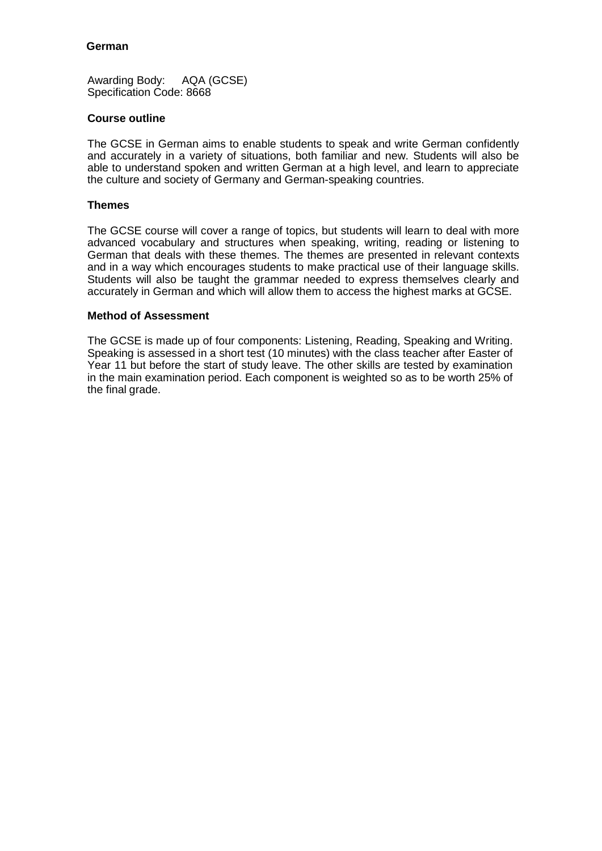## **German**

Awarding Body: AQA (GCSE) Specification Code: 8668

#### **Course outline**

The GCSE in German aims to enable students to speak and write German confidently and accurately in a variety of situations, both familiar and new. Students will also be able to understand spoken and written German at a high level, and learn to appreciate the culture and society of Germany and German-speaking countries.

## **Themes**

The GCSE course will cover a range of topics, but students will learn to deal with more advanced vocabulary and structures when speaking, writing, reading or listening to German that deals with these themes. The themes are presented in relevant contexts and in a way which encourages students to make practical use of their language skills. Students will also be taught the grammar needed to express themselves clearly and accurately in German and which will allow them to access the highest marks at GCSE.

#### **Method of Assessment**

The GCSE is made up of four components: Listening, Reading, Speaking and Writing. Speaking is assessed in a short test (10 minutes) with the class teacher after Easter of Year 11 but before the start of study leave. The other skills are tested by examination in the main examination period. Each component is weighted so as to be worth 25% of the final grade.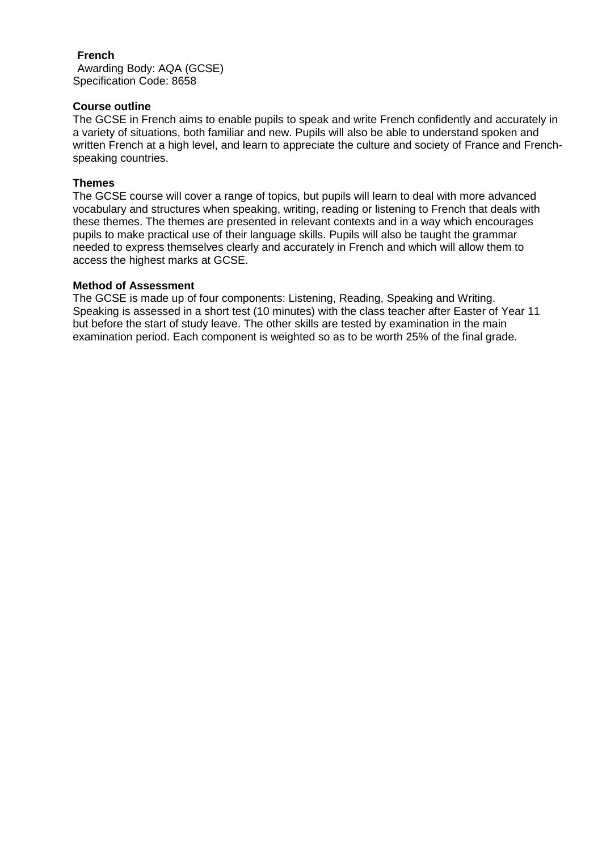## **French**

Awarding Body: AQA (GCSE) Specification Code: 8658

# **Course outline**

The GCSE in French aims to enable pupils to speak and write French confidently and accurately in a variety of situations, both familiar and new. Pupils will also be able to understand spoken and written French at a high level, and learn to appreciate the culture and society of France and Frenchspeaking countries.

## **Themes**

The GCSE course will cover a range of topics, but pupils will learn to deal with more advanced vocabulary and structures when speaking, writing, reading or listening to French that deals with these themes. The themes are presented in relevant contexts and in a way which encourages pupils to make practical use of their language skills. Pupils will also be taught the grammar needed to express themselves clearly and accurately in French and which will allow them to access the highest marks at GCSE.

## **Method of Assessment**

The GCSE is made up of four components: Listening, Reading, Speaking and Writing. Speaking is assessed in a short test (10 minutes) with the class teacher after Easter of Year 11 but before the start of study leave. The other skills are tested by examination in the main examination period. Each component is weighted so as to be worth 25% of the final grade.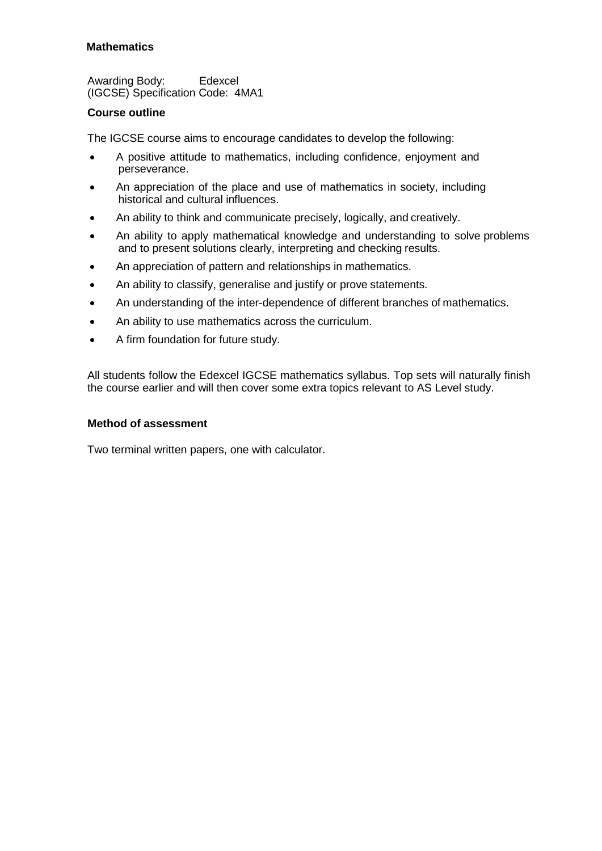# **Mathematics**

Awarding Body: Edexcel (IGCSE) Specification Code: 4MA1

## **Course outline**

The IGCSE course aims to encourage candidates to develop the following:

- A positive attitude to mathematics, including confidence, enjoyment and perseverance.
- An appreciation of the place and use of mathematics in society, including historical and cultural influences.
- An ability to think and communicate precisely, logically, and creatively.
- An ability to apply mathematical knowledge and understanding to solve problems and to present solutions clearly, interpreting and checking results.
- An appreciation of pattern and relationships in mathematics.
- An ability to classify, generalise and justify or prove statements.
- An understanding of the inter-dependence of different branches of mathematics.
- An ability to use mathematics across the curriculum.
- A firm foundation for future study.

All students follow the Edexcel IGCSE mathematics syllabus. Top sets will naturally finish the course earlier and will then cover some extra topics relevant to AS Level study.

## **Method of assessment**

Two terminal written papers, one with calculator.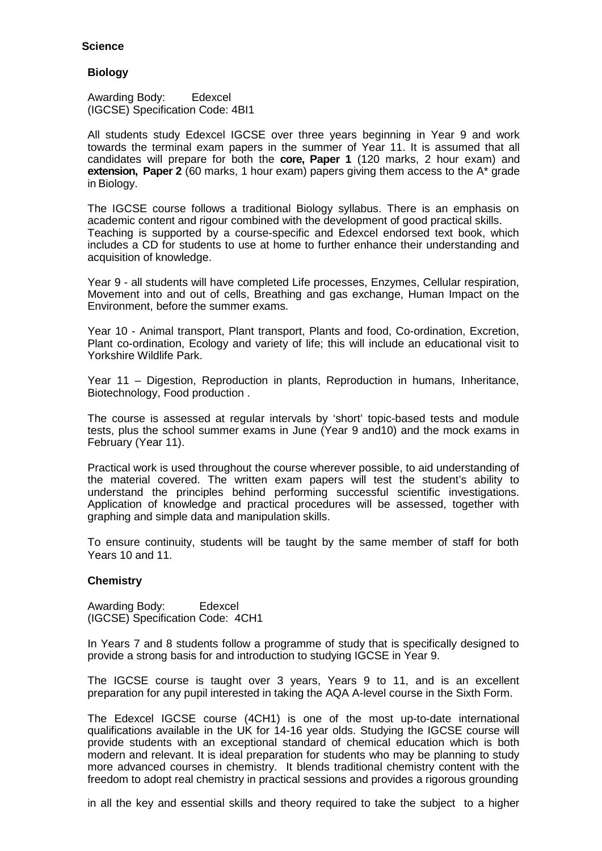## **Science**

#### **Biology**

Awarding Body: Edexcel (IGCSE) Specification Code: 4BI1

All students study Edexcel IGCSE over three years beginning in Year 9 and work towards the terminal exam papers in the summer of Year 11. It is assumed that all candidates will prepare for both the **core, Paper 1** (120 marks, 2 hour exam) and **extension, Paper 2** (60 marks, 1 hour exam) papers giving them access to the A\* grade in Biology.

The IGCSE course follows a traditional Biology syllabus. There is an emphasis on academic content and rigour combined with the development of good practical skills. Teaching is supported by a course-specific and Edexcel endorsed text book, which includes a CD for students to use at home to further enhance their understanding and acquisition of knowledge.

Year 9 - all students will have completed Life processes, Enzymes, Cellular respiration, Movement into and out of cells, Breathing and gas exchange, Human Impact on the Environment, before the summer exams.

Year 10 - Animal transport, Plant transport, Plants and food, Co-ordination, Excretion, Plant co-ordination, Ecology and variety of life; this will include an educational visit to Yorkshire Wildlife Park.

Year 11 – Digestion, Reproduction in plants, Reproduction in humans, Inheritance, Biotechnology, Food production .

The course is assessed at regular intervals by 'short' topic-based tests and module tests, plus the school summer exams in June (Year 9 and10) and the mock exams in February (Year 11).

Practical work is used throughout the course wherever possible, to aid understanding of the material covered. The written exam papers will test the student's ability to understand the principles behind performing successful scientific investigations. Application of knowledge and practical procedures will be assessed, together with graphing and simple data and manipulation skills.

To ensure continuity, students will be taught by the same member of staff for both Years 10 and 11.

## **Chemistry**

Awarding Body: Edexcel (IGCSE) Specification Code: 4CH1

In Years 7 and 8 students follow a programme of study that is specifically designed to provide a strong basis for and introduction to studying IGCSE in Year 9.

The IGCSE course is taught over 3 years, Years 9 to 11, and is an excellent preparation for any pupil interested in taking the AQA A-level course in the Sixth Form.

The Edexcel IGCSE course (4CH1) is one of the most up-to-date international qualifications available in the UK for 14-16 year olds. Studying the IGCSE course will provide students with an exceptional standard of chemical education which is both modern and relevant. It is ideal preparation for students who may be planning to study more advanced courses in chemistry. It blends traditional chemistry content with the freedom to adopt real chemistry in practical sessions and provides a rigorous grounding

in all the key and essential skills and theory required to take the subject to a higher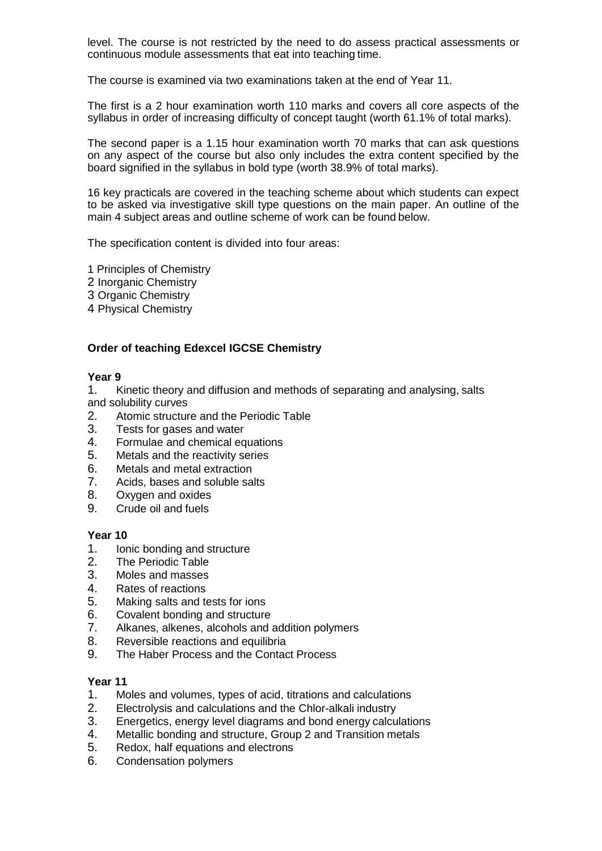level. The course is not restricted by the need to do assess practical assessments or continuous module assessments that eat into teaching time.

The course is examined via two examinations taken at the end of Year 11.

The first is a 2 hour examination worth 110 marks and covers all core aspects of the syllabus in order of increasing difficulty of concept taught (worth 61.1% of total marks).

The second paper is a 1.15 hour examination worth 70 marks that can ask questions on any aspect of the course but also only includes the extra content specified by the board signified in the syllabus in bold type (worth 38.9% of total marks).

16 key practicals are covered in the teaching scheme about which students can expect to be asked via investigative skill type questions on the main paper. An outline of the main 4 subject areas and outline scheme of work can be found below.

The specification content is divided into four areas:

1 Principles of Chemistry

- 2 Inorganic Chemistry
- 3 Organic Chemistry
- 4 Physical Chemistry

## **Order of teaching Edexcel IGCSE Chemistry**

#### **Year 9**

1. Kinetic theory and diffusion and methods of separating and analysing, salts

- and solubility curves
- 2. Atomic structure and the Periodic Table<br>3. Tests for gases and water
- Tests for gases and water
- 4. Formulae and chemical equations<br>5. Metals and the reactivity series
- Metals and the reactivity series
- 6. Metals and metal extraction<br>7. Acids. bases and soluble sa
- Acids, bases and soluble salts
- 8. Oxygen and oxides
- 9. Crude oil and fuels

# **Year 10**

- 1. Ionic bonding and structure<br>2. The Periodic Table
- The Periodic Table
- 3. Moles and masses
- 4. Rates of reactions
- 5. Making salts and tests for ions
- 6. Covalent bonding and structure<br>7. Alkanes, alkenes, alcohols and
- 7. Alkanes, alkenes, alcohols and addition polymers<br>8. Reversible reactions and equilibria
- Reversible reactions and equilibria
- 9. The Haber Process and the Contact Process

## **Year 11**

- 1. Moles and volumes, types of acid, titrations and calculations<br>2. Electrolysis and calculations and the Chlor-alkali industry
- 2. Electrolysis and calculations and the Chlor-alkali industry
- 3. Energetics, energy level diagrams and bond energy calculations<br>4. Metallic bonding and structure. Group 2 and Transition metals
- 4. Metallic bonding and structure, Group 2 and Transition metals<br>5. Redox. half equations and electrons
- 5. Redox, half equations and electrons
- 6. Condensation polymers